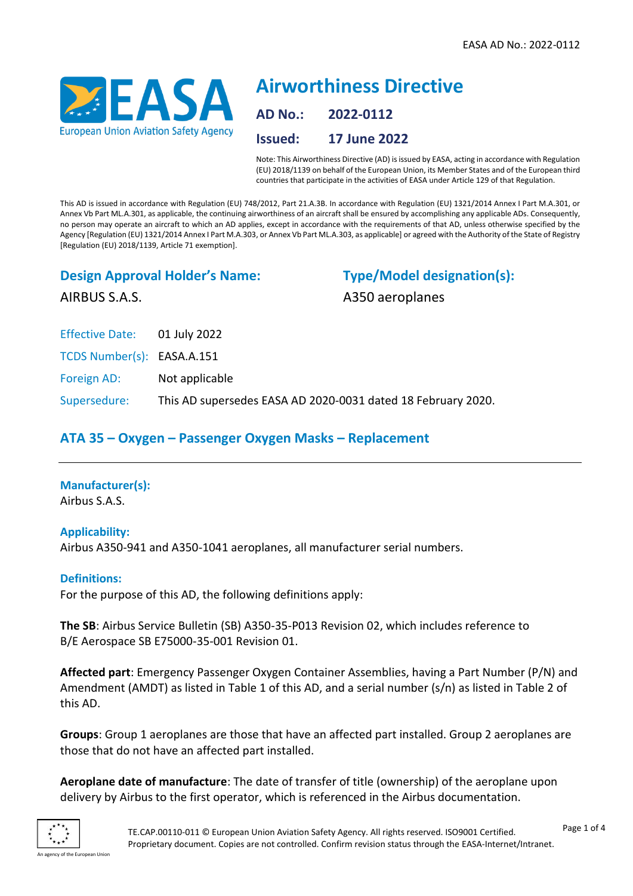

# **Airworthiness Directive AD No.: 2022-0112 Issued: 17 June 2022**

Note: This Airworthiness Directive (AD) is issued by EASA, acting in accordance with Regulation (EU) 2018/1139 on behalf of the European Union, its Member States and of the European third countries that participate in the activities of EASA under Article 129 of that Regulation.

This AD is issued in accordance with Regulation (EU) 748/2012, Part 21.A.3B. In accordance with Regulation (EU) 1321/2014 Annex I Part M.A.301, or Annex Vb Part ML.A.301, as applicable, the continuing airworthiness of an aircraft shall be ensured by accomplishing any applicable ADs. Consequently, no person may operate an aircraft to which an AD applies, except in accordance with the requirements of that AD, unless otherwise specified by the Agency [Regulation (EU) 1321/2014 Annex I Part M.A.303, or Annex Vb Part ML.A.303, as applicable] or agreed with the Authority of the State of Registry [Regulation (EU) 2018/1139, Article 71 exemption].

## **Design Approval Holder's Name:**

**Type/Model designation(s):** A350 aeroplanes

AIRBUS S.A.S.

Effective Date: 01 July 2022

TCDS Number(s): EASA.A.151

Foreign AD: Not applicable

Supersedure: This AD supersedes EASA AD 2020-0031 dated 18 February 2020.

# **ATA 35 – Oxygen – Passenger Oxygen Masks – Replacement**

## **Manufacturer(s):**

Airbus S.A.S.

## **Applicability:**

Airbus A350-941 and A350-1041 aeroplanes, all manufacturer serial numbers.

#### **Definitions:**

For the purpose of this AD, the following definitions apply:

**The SB**: Airbus Service Bulletin (SB) A350-35-P013 Revision 02, which includes reference to B/E Aerospace SB E75000-35-001 Revision 01.

**Affected part**: Emergency Passenger Oxygen Container Assemblies, having a Part Number (P/N) and Amendment (AMDT) as listed in Table 1 of this AD, and a serial number (s/n) as listed in Table 2 of this AD.

**Groups**: Group 1 aeroplanes are those that have an affected part installed. Group 2 aeroplanes are those that do not have an affected part installed.

**Aeroplane date of manufacture**: The date of transfer of title (ownership) of the aeroplane upon delivery by Airbus to the first operator, which is referenced in the Airbus documentation.

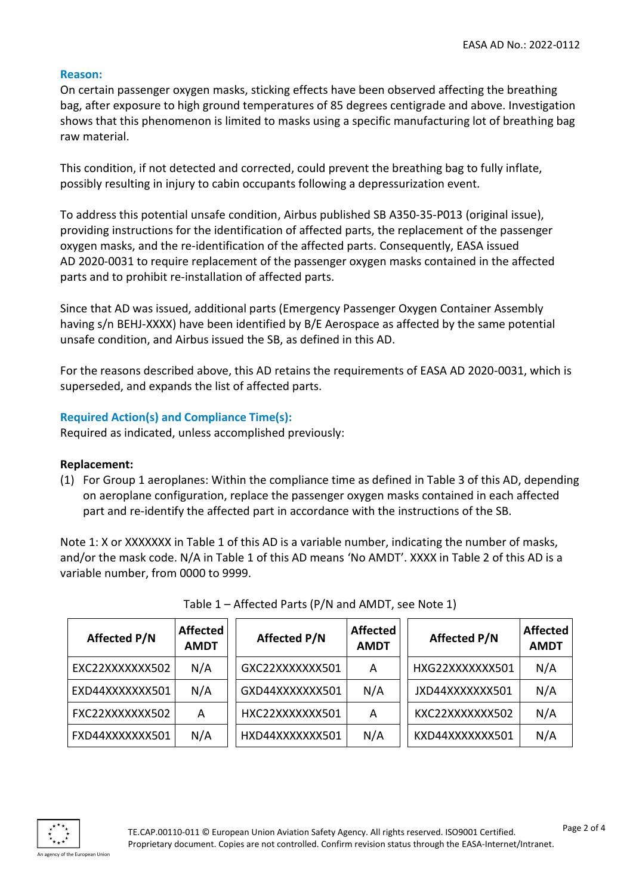#### **Reason:**

On certain passenger oxygen masks, sticking effects have been observed affecting the breathing bag, after exposure to high ground temperatures of 85 degrees centigrade and above. Investigation shows that this phenomenon is limited to masks using a specific manufacturing lot of breathing bag raw material.

This condition, if not detected and corrected, could prevent the breathing bag to fully inflate, possibly resulting in injury to cabin occupants following a depressurization event.

To address this potential unsafe condition, Airbus published SB A350-35-P013 (original issue), providing instructions for the identification of affected parts, the replacement of the passenger oxygen masks, and the re-identification of the affected parts. Consequently, EASA issued AD 2020-0031 to require replacement of the passenger oxygen masks contained in the affected parts and to prohibit re-installation of affected parts.

Since that AD was issued, additional parts (Emergency Passenger Oxygen Container Assembly having s/n BEHJ-XXXX) have been identified by B/E Aerospace as affected by the same potential unsafe condition, and Airbus issued the SB, as defined in this AD.

For the reasons described above, this AD retains the requirements of EASA AD 2020-0031, which is superseded, and expands the list of affected parts.

## **Required Action(s) and Compliance Time(s):**

Required as indicated, unless accomplished previously:

#### **Replacement:**

(1) For Group 1 aeroplanes: Within the compliance time as defined in Table 3 of this AD, depending on aeroplane configuration, replace the passenger oxygen masks contained in each affected part and re-identify the affected part in accordance with the instructions of the SB.

Note 1: X or XXXXXXX in Table 1 of this AD is a variable number, indicating the number of masks, and/or the mask code. N/A in Table 1 of this AD means 'No AMDT'. XXXX in Table 2 of this AD is a variable number, from 0000 to 9999.

| <b>Affected P/N</b> | <b>Affected</b><br><b>AMDT</b> | <b>Affected P/N</b> | <b>Affected</b><br><b>AMDT</b> | <b>Affected P/N</b> | <b>Affected</b><br><b>AMDT</b> |
|---------------------|--------------------------------|---------------------|--------------------------------|---------------------|--------------------------------|
| EXC22XXXXXXX502     | N/A                            | GXC22XXXXXXX501     | A                              | HXG22XXXXXXX501     | N/A                            |
| EXD44XXXXXXX501     | N/A                            | GXD44XXXXXXX501     | N/A                            | JXD44XXXXXXX501     | N/A                            |
| FXC22XXXXXXX502     | A                              | HXC22XXXXXXX501     | A                              | KXC22XXXXXXX502     | N/A                            |
| FXD44XXXXXXX501     | N/A                            | HXD44XXXXXXX501     | N/A                            | KXD44XXXXXXX501     | N/A                            |

| Table 1 - Affected Parts (P/N and AMDT, see Note 1) |  |
|-----------------------------------------------------|--|
|-----------------------------------------------------|--|

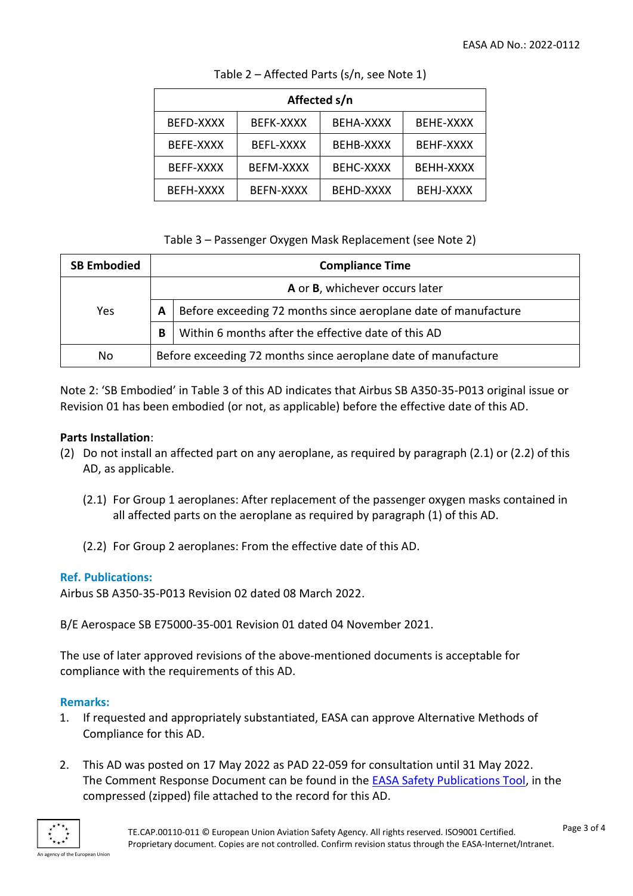| Affected s/n |                  |                  |           |  |  |
|--------------|------------------|------------------|-----------|--|--|
| BEFD-XXXX    | BEFK-XXXX        | BEHA-XXXX        | BEHE-XXXX |  |  |
| BEFE-XXXX    | <b>BEFL-XXXX</b> | BEHB-XXXX        | BEHF-XXXX |  |  |
| BEFF-XXXX    | BEFM-XXXX        | <b>BEHC-XXXX</b> | BEHH-XXXX |  |  |
| BEFH-XXXX    | <b>BEFN-XXXX</b> | <b>BEHD-XXXX</b> | BEHJ-XXXX |  |  |

Table 2 – Affected Parts (s/n, see Note 1)

## Table 3 – Passenger Oxygen Mask Replacement (see Note 2)

| <b>SB Embodied</b> | <b>Compliance Time</b>                                         |                                                                |  |
|--------------------|----------------------------------------------------------------|----------------------------------------------------------------|--|
|                    | A or B, whichever occurs later                                 |                                                                |  |
| Yes                | A                                                              | Before exceeding 72 months since aeroplane date of manufacture |  |
|                    | В                                                              | Within 6 months after the effective date of this AD            |  |
| No                 | Before exceeding 72 months since aeroplane date of manufacture |                                                                |  |

Note 2: 'SB Embodied' in Table 3 of this AD indicates that Airbus SB A350-35-P013 original issue or Revision 01 has been embodied (or not, as applicable) before the effective date of this AD.

## **Parts Installation**:

- (2) Do not install an affected part on any aeroplane, as required by paragraph (2.1) or (2.2) of this AD, as applicable.
	- (2.1) For Group 1 aeroplanes: After replacement of the passenger oxygen masks contained in all affected parts on the aeroplane as required by paragraph (1) of this AD.
	- (2.2) For Group 2 aeroplanes: From the effective date of this AD.

## **Ref. Publications:**

Airbus SB A350-35-P013 Revision 02 dated 08 March 2022.

B/E Aerospace SB E75000-35-001 Revision 01 dated 04 November 2021.

The use of later approved revisions of the above-mentioned documents is acceptable for compliance with the requirements of this AD.

#### **Remarks:**

- 1. If requested and appropriately substantiated, EASA can approve Alternative Methods of Compliance for this AD.
- 2. This AD was posted on 17 May 2022 as PAD 22-059 for consultation until 31 May 2022. The Comment Response Document can be found in the [EASA Safety Publications Tool,](http://ad.easa.europa.eu/) in the compressed (zipped) file attached to the record for this AD.